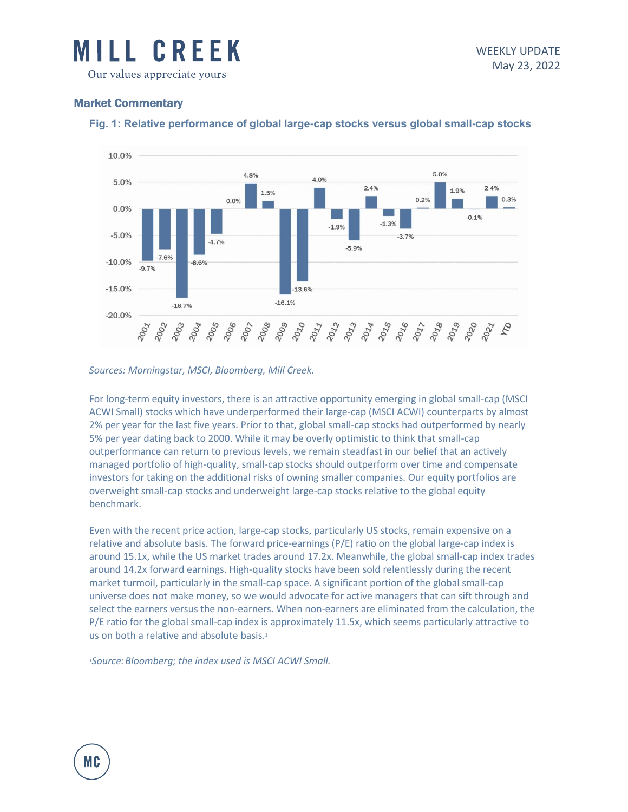

## Market Commentary



### **Fig. 1: Relative performance of global large-cap stocks versus global small-cap stocks**

#### *Sources: Morningstar, MSCI, Bloomberg, Mill Creek.*

For long-term equity investors, there is an attractive opportunity emerging in global small-cap (MSCI ACWI Small) stocks which have underperformed their large-cap (MSCI ACWI) counterparts by almost 2% per year for the last five years. Prior to that, global small-cap stocks had outperformed by nearly 5% per year dating back to 2000. While it may be overly optimistic to think that small-cap outperformance can return to previous levels, we remain steadfast in our belief that an actively managed portfolio of high-quality, small-cap stocks should outperform over time and compensate investors for taking on the additional risks of owning smaller companies. Our equity portfolios are overweight small-cap stocks and underweight large-cap stocks relative to the global equity benchmark.

Even with the recent price action, large-cap stocks, particularly US stocks, remain expensive on a relative and absolute basis. The forward price-earnings (P/E) ratio on the global large-cap index is around 15.1x, while the US market trades around 17.2x. Meanwhile, the global small-cap index trades around 14.2x forward earnings. High-quality stocks have been sold relentlessly during the recent market turmoil, particularly in the small-cap space. A significant portion of the global small-cap universe does not make money, so we would advocate for active managers that can sift through and select the earners versus the non-earners. When non-earners are eliminated from the calculation, the P/E ratio for the global small-cap index is approximately 11.5x, which seems particularly attractive to us on both a relative and absolute basis.<sup>1</sup>

*1Source:Bloomberg; the index used is MSCI ACWI Small.*